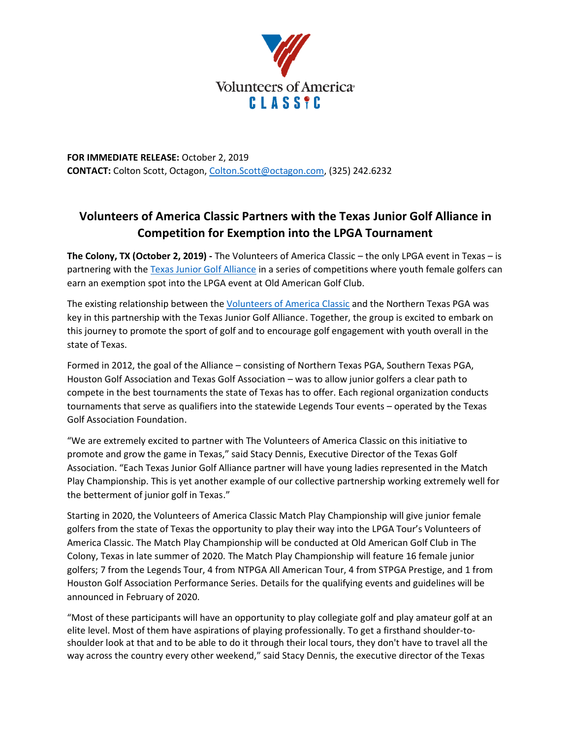

**FOR IMMEDIATE RELEASE:** October 2, 2019 **CONTACT:** Colton Scott, Octagon[, Colton.Scott@octagon.com,](mailto:Colton.Scott@octagon.com) (325) 242.6232

# **Volunteers of America Classic Partners with the Texas Junior Golf Alliance in Competition for Exemption into the LPGA Tournament**

**The Colony, TX (October 2, 2019) -** The Volunteers of America Classic – the only LPGA event in Texas – is partnering with the [Texas Junior Golf Alliance](https://www.txga.org/tljt-texas-junior-golf-alliance.html) in a series of competitions where youth female golfers can earn an exemption spot into the LPGA event at Old American Golf Club.

The existing relationship between the [Volunteers of America Classic](http://www.voaclassic.com/) and the Northern Texas PGA was key in this partnership with the Texas Junior Golf Alliance. Together, the group is excited to embark on this journey to promote the sport of golf and to encourage golf engagement with youth overall in the state of Texas.

Formed in 2012, the goal of the Alliance – consisting of Northern Texas PGA, Southern Texas PGA, Houston Golf Association and Texas Golf Association – was to allow junior golfers a clear path to compete in the best tournaments the state of Texas has to offer. Each regional organization conducts tournaments that serve as qualifiers into the statewide Legends Tour events – operated by the Texas Golf Association Foundation.

"We are extremely excited to partner with The Volunteers of America Classic on this initiative to promote and grow the game in Texas," said Stacy Dennis, Executive Director of the Texas Golf Association. "Each Texas Junior Golf Alliance partner will have young ladies represented in the Match Play Championship. This is yet another example of our collective partnership working extremely well for the betterment of junior golf in Texas."

Starting in 2020, the Volunteers of America Classic Match Play Championship will give junior female golfers from the state of Texas the opportunity to play their way into the LPGA Tour's Volunteers of America Classic. The Match Play Championship will be conducted at Old American Golf Club in The Colony, Texas in late summer of 2020. The Match Play Championship will feature 16 female junior golfers; 7 from the Legends Tour, 4 from NTPGA All American Tour, 4 from STPGA Prestige, and 1 from Houston Golf Association Performance Series. Details for the qualifying events and guidelines will be announced in February of 2020.

"Most of these participants will have an opportunity to play collegiate golf and play amateur golf at an elite level. Most of them have aspirations of playing professionally. To get a firsthand shoulder-toshoulder look at that and to be able to do it through their local tours, they don't have to travel all the way across the country every other weekend," said Stacy Dennis, the executive director of the Texas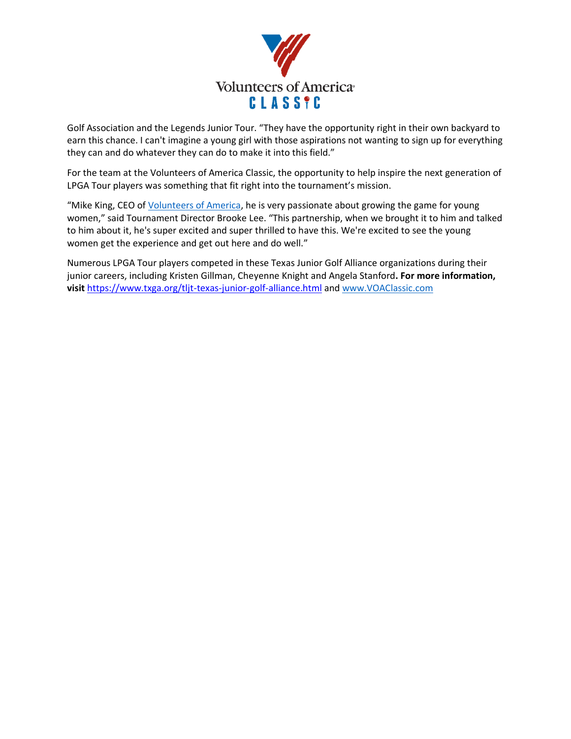

Golf Association and the Legends Junior Tour. "They have the opportunity right in their own backyard to earn this chance. I can't imagine a young girl with those aspirations not wanting to sign up for everything they can and do whatever they can do to make it into this field."

For the team at the Volunteers of America Classic, the opportunity to help inspire the next generation of LPGA Tour players was something that fit right into the tournament's mission.

"Mike King, CEO of [Volunteers of America,](https://www.voa.org/) he is very passionate about growing the game for young women," said Tournament Director Brooke Lee. "This partnership, when we brought it to him and talked to him about it, he's super excited and super thrilled to have this. We're excited to see the young women get the experience and get out here and do well."

Numerous LPGA Tour players competed in these Texas Junior Golf Alliance organizations during their junior careers, including Kristen Gillman, Cheyenne Knight and Angela Stanford**. For more information, visit** <https://www.txga.org/tljt-texas-junior-golf-alliance.html> and [www.VOAClassic.com](http://www.voaclassic.com/)